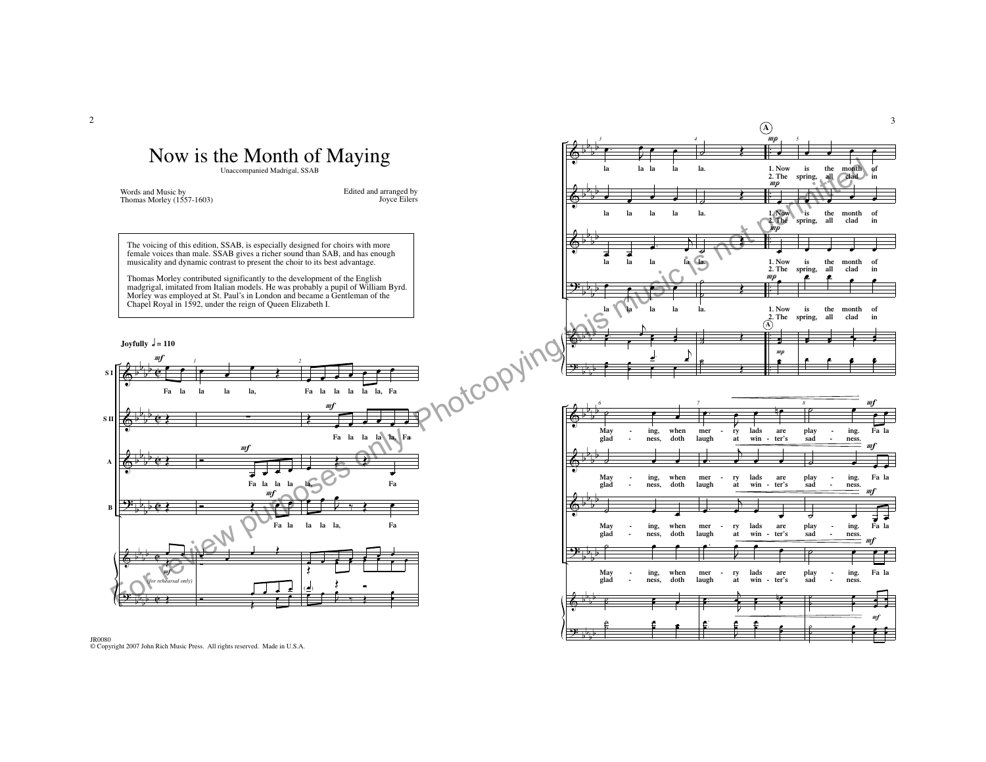## Now is the Month of Maying Unaccompanied Madrigal, SSAB

Words and Music by Thomas Morley (1557-1603)

Edited and arranged byJoyce Eilers

The voicing of this edition, SSAB, is especially designed for choirs with more female voices than male. SSAB gives a richer sound than SAB, and has enough musicality and dynamic contrast to present the choir to its best ad

Thomas Morley contributed significantly to the development of the English madgrigal, imitated from Italian models. He was probably a pupil of William Byrd.<br>Morley was employed at St. Paul's in London and became a Gentleman

*Joyfully a =* **110** 





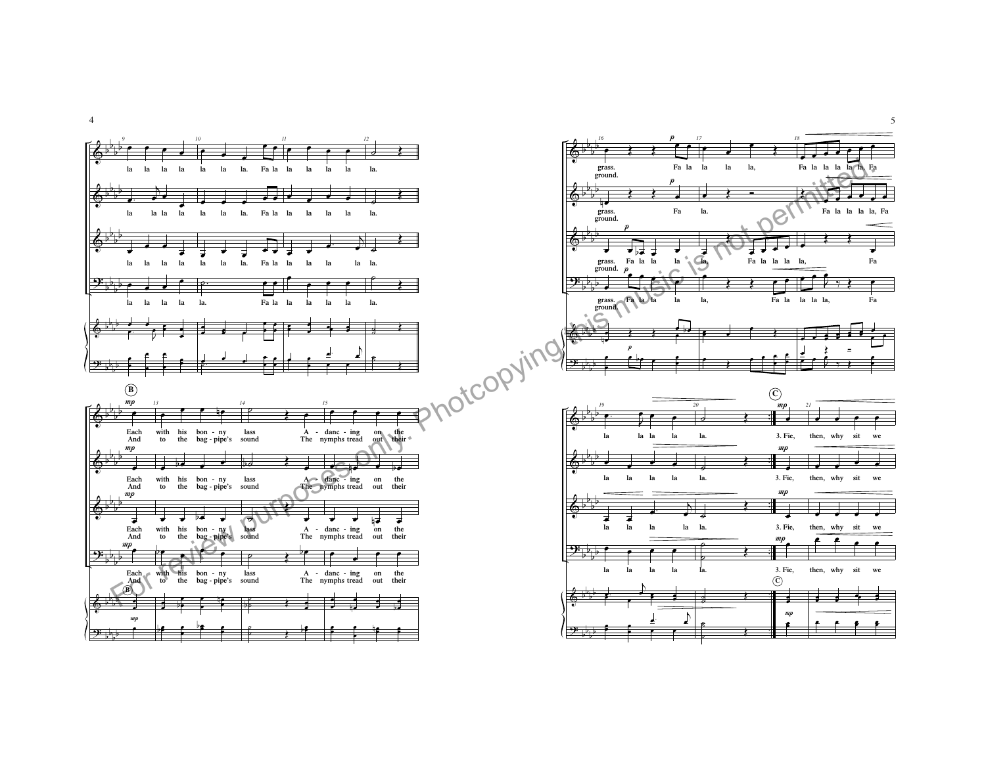





5